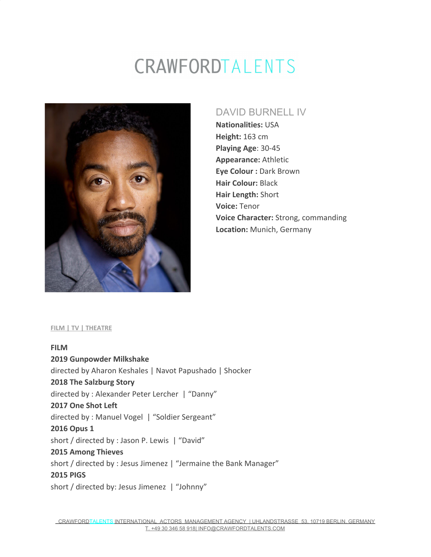## CRAWFORDTALENTS



### DAVID BURNELL IV

**Nationalities:** USA **Height:** 163 cm **Playing Age**: 30-45 **Appearance:** Athletic **Eye Colour :** Dark Brown **Hair Colour:** Black **Hair Length:** Short **Voice:** Tenor **Voice Character:** Strong, commanding **Location:** Munich, Germany

#### **FILM | TV | THEATRE**

**FILM 2019 Gunpowder Milkshake** directed by Aharon Keshales | Navot Papushado | Shocker **2018 The Salzburg Story** directed by : Alexander Peter Lercher | "Danny" **2017 One Shot Left** directed by : Manuel Vogel | "Soldier Sergeant" **2016 Opus 1** short / directed by : Jason P. Lewis | "David" **2015 Among Thieves** short / directed by : Jesus Jimenez | "Jermaine the Bank Manager" **2015 PIGS** short / directed by: Jesus Jimenez | "Johnny"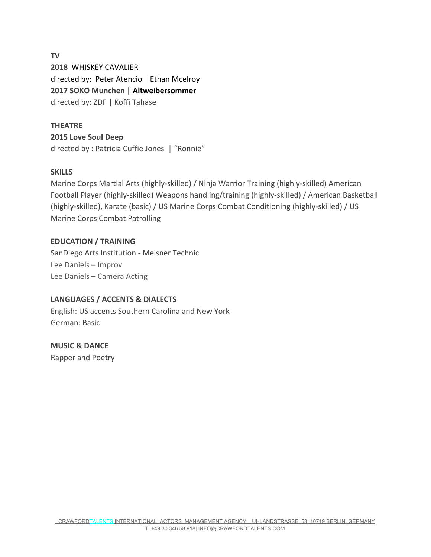**TV 2018** WHISKEY CAVALIER directed by: Peter Atencio | Ethan Mcelroy **2017 SOKO Munchen | [Altweibersommer](https://www.imdb.com/title/tt6534938/?ref_=nm_flmg_act_2)** directed by: ZDF | Koffi Tahase

#### **THEATRE**

**2015 Love Soul Deep** directed by : Patricia Cuffie Jones | "Ronnie"

#### **SKILLS**

Marine Corps Martial Arts (highly-skilled) / Ninja Warrior Training (highly-skilled) American Football Player (highly-skilled) Weapons handling/training (highly-skilled) / American Basketball (highly-skilled), Karate (basic) / US Marine Corps Combat Conditioning (highly-skilled) / US Marine Corps Combat Patrolling

#### **EDUCATION / TRAINING**

SanDiego Arts Institution - Meisner Technic Lee Daniels – Improv Lee Daniels – Camera Acting

#### **LANGUAGES / ACCENTS & DIALECTS**

English: US accents Southern Carolina and New York German: Basic

**MUSIC & DANCE** Rapper and Poetry